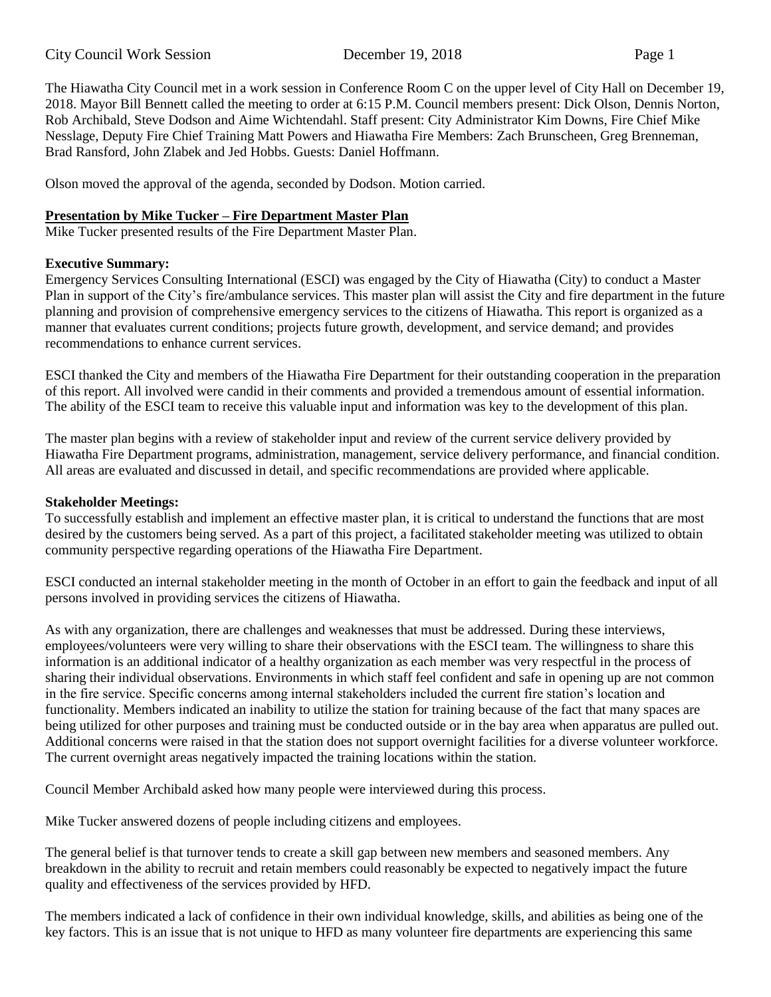The Hiawatha City Council met in a work session in Conference Room C on the upper level of City Hall on December 19, 2018. Mayor Bill Bennett called the meeting to order at 6:15 P.M. Council members present: Dick Olson, Dennis Norton, Rob Archibald, Steve Dodson and Aime Wichtendahl. Staff present: City Administrator Kim Downs, Fire Chief Mike Nesslage, Deputy Fire Chief Training Matt Powers and Hiawatha Fire Members: Zach Brunscheen, Greg Brenneman, Brad Ransford, John Zlabek and Jed Hobbs. Guests: Daniel Hoffmann.

Olson moved the approval of the agenda, seconded by Dodson. Motion carried.

## **Presentation by Mike Tucker – Fire Department Master Plan**

Mike Tucker presented results of the Fire Department Master Plan.

### **Executive Summary:**

Emergency Services Consulting International (ESCI) was engaged by the City of Hiawatha (City) to conduct a Master Plan in support of the City's fire/ambulance services. This master plan will assist the City and fire department in the future planning and provision of comprehensive emergency services to the citizens of Hiawatha. This report is organized as a manner that evaluates current conditions; projects future growth, development, and service demand; and provides recommendations to enhance current services.

ESCI thanked the City and members of the Hiawatha Fire Department for their outstanding cooperation in the preparation of this report. All involved were candid in their comments and provided a tremendous amount of essential information. The ability of the ESCI team to receive this valuable input and information was key to the development of this plan.

The master plan begins with a review of stakeholder input and review of the current service delivery provided by Hiawatha Fire Department programs, administration, management, service delivery performance, and financial condition. All areas are evaluated and discussed in detail, and specific recommendations are provided where applicable.

### **Stakeholder Meetings:**

To successfully establish and implement an effective master plan, it is critical to understand the functions that are most desired by the customers being served. As a part of this project, a facilitated stakeholder meeting was utilized to obtain community perspective regarding operations of the Hiawatha Fire Department.

ESCI conducted an internal stakeholder meeting in the month of October in an effort to gain the feedback and input of all persons involved in providing services the citizens of Hiawatha.

As with any organization, there are challenges and weaknesses that must be addressed. During these interviews, employees/volunteers were very willing to share their observations with the ESCI team. The willingness to share this information is an additional indicator of a healthy organization as each member was very respectful in the process of sharing their individual observations. Environments in which staff feel confident and safe in opening up are not common in the fire service. Specific concerns among internal stakeholders included the current fire station's location and functionality. Members indicated an inability to utilize the station for training because of the fact that many spaces are being utilized for other purposes and training must be conducted outside or in the bay area when apparatus are pulled out. Additional concerns were raised in that the station does not support overnight facilities for a diverse volunteer workforce. The current overnight areas negatively impacted the training locations within the station.

Council Member Archibald asked how many people were interviewed during this process.

Mike Tucker answered dozens of people including citizens and employees.

The general belief is that turnover tends to create a skill gap between new members and seasoned members. Any breakdown in the ability to recruit and retain members could reasonably be expected to negatively impact the future quality and effectiveness of the services provided by HFD.

The members indicated a lack of confidence in their own individual knowledge, skills, and abilities as being one of the key factors. This is an issue that is not unique to HFD as many volunteer fire departments are experiencing this same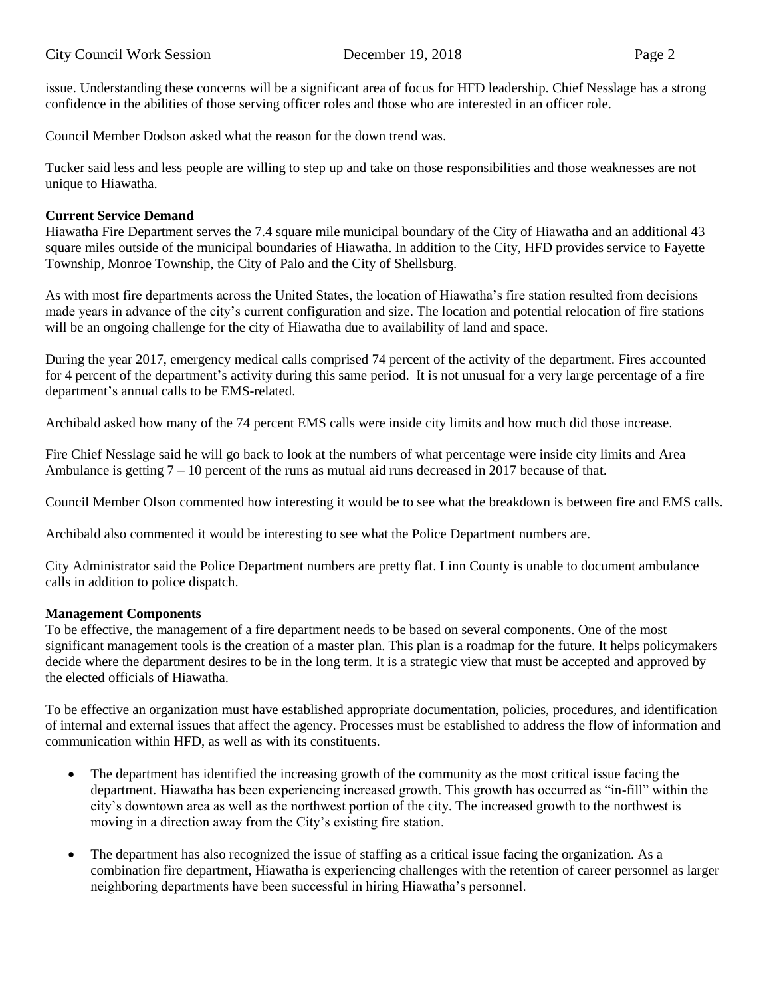issue. Understanding these concerns will be a significant area of focus for HFD leadership. Chief Nesslage has a strong confidence in the abilities of those serving officer roles and those who are interested in an officer role.

Council Member Dodson asked what the reason for the down trend was.

Tucker said less and less people are willing to step up and take on those responsibilities and those weaknesses are not unique to Hiawatha.

# **Current Service Demand**

Hiawatha Fire Department serves the 7.4 square mile municipal boundary of the City of Hiawatha and an additional 43 square miles outside of the municipal boundaries of Hiawatha. In addition to the City, HFD provides service to Fayette Township, Monroe Township, the City of Palo and the City of Shellsburg.

As with most fire departments across the United States, the location of Hiawatha's fire station resulted from decisions made years in advance of the city's current configuration and size. The location and potential relocation of fire stations will be an ongoing challenge for the city of Hiawatha due to availability of land and space.

During the year 2017, emergency medical calls comprised 74 percent of the activity of the department. Fires accounted for 4 percent of the department's activity during this same period. It is not unusual for a very large percentage of a fire department's annual calls to be EMS-related.

Archibald asked how many of the 74 percent EMS calls were inside city limits and how much did those increase.

Fire Chief Nesslage said he will go back to look at the numbers of what percentage were inside city limits and Area Ambulance is getting  $7 - 10$  percent of the runs as mutual aid runs decreased in 2017 because of that.

Council Member Olson commented how interesting it would be to see what the breakdown is between fire and EMS calls.

Archibald also commented it would be interesting to see what the Police Department numbers are.

City Administrator said the Police Department numbers are pretty flat. Linn County is unable to document ambulance calls in addition to police dispatch.

### **Management Components**

To be effective, the management of a fire department needs to be based on several components. One of the most significant management tools is the creation of a master plan. This plan is a roadmap for the future. It helps policymakers decide where the department desires to be in the long term. It is a strategic view that must be accepted and approved by the elected officials of Hiawatha.

To be effective an organization must have established appropriate documentation, policies, procedures, and identification of internal and external issues that affect the agency. Processes must be established to address the flow of information and communication within HFD, as well as with its constituents.

- The department has identified the increasing growth of the community as the most critical issue facing the department. Hiawatha has been experiencing increased growth. This growth has occurred as "in-fill" within the city's downtown area as well as the northwest portion of the city. The increased growth to the northwest is moving in a direction away from the City's existing fire station.
- The department has also recognized the issue of staffing as a critical issue facing the organization. As a combination fire department, Hiawatha is experiencing challenges with the retention of career personnel as larger neighboring departments have been successful in hiring Hiawatha's personnel.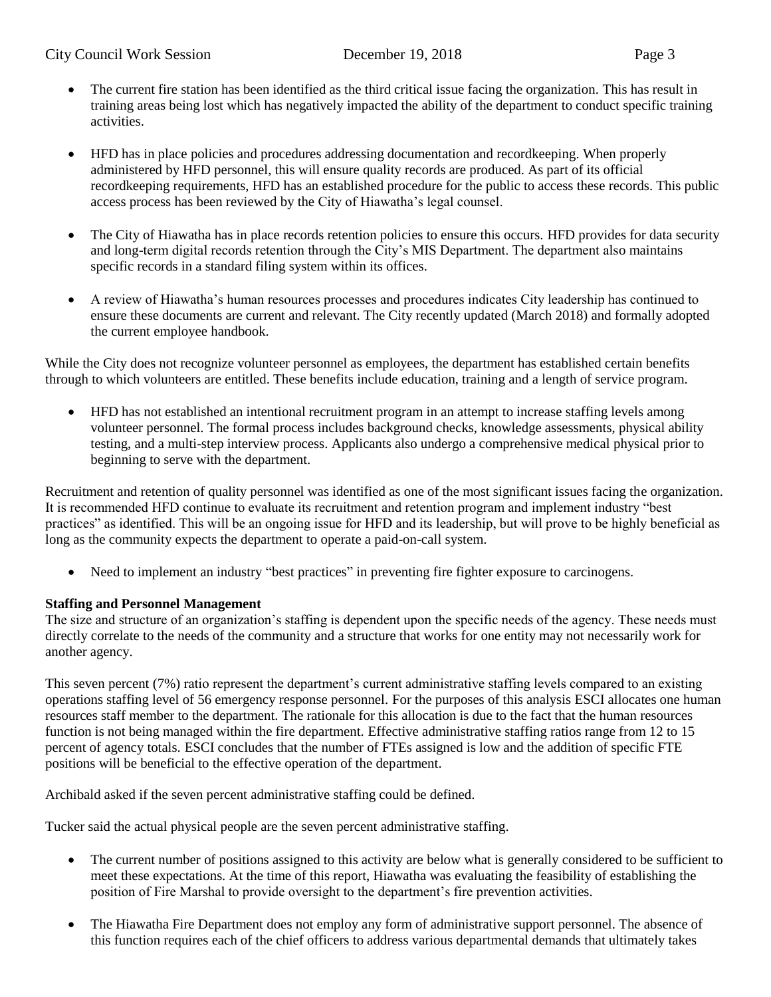- The current fire station has been identified as the third critical issue facing the organization. This has result in training areas being lost which has negatively impacted the ability of the department to conduct specific training activities.
- HFD has in place policies and procedures addressing documentation and recordkeeping. When properly administered by HFD personnel, this will ensure quality records are produced. As part of its official recordkeeping requirements, HFD has an established procedure for the public to access these records. This public access process has been reviewed by the City of Hiawatha's legal counsel.
- The City of Hiawatha has in place records retention policies to ensure this occurs. HFD provides for data security and long-term digital records retention through the City's MIS Department. The department also maintains specific records in a standard filing system within its offices.
- A review of Hiawatha's human resources processes and procedures indicates City leadership has continued to ensure these documents are current and relevant. The City recently updated (March 2018) and formally adopted the current employee handbook.

While the City does not recognize volunteer personnel as employees, the department has established certain benefits through to which volunteers are entitled. These benefits include education, training and a length of service program.

• HFD has not established an intentional recruitment program in an attempt to increase staffing levels among volunteer personnel. The formal process includes background checks, knowledge assessments, physical ability testing, and a multi-step interview process. Applicants also undergo a comprehensive medical physical prior to beginning to serve with the department.

Recruitment and retention of quality personnel was identified as one of the most significant issues facing the organization. It is recommended HFD continue to evaluate its recruitment and retention program and implement industry "best practices" as identified. This will be an ongoing issue for HFD and its leadership, but will prove to be highly beneficial as long as the community expects the department to operate a paid-on-call system.

• Need to implement an industry "best practices" in preventing fire fighter exposure to carcinogens.

# **Staffing and Personnel Management**

The size and structure of an organization's staffing is dependent upon the specific needs of the agency. These needs must directly correlate to the needs of the community and a structure that works for one entity may not necessarily work for another agency.

This seven percent (7%) ratio represent the department's current administrative staffing levels compared to an existing operations staffing level of 56 emergency response personnel. For the purposes of this analysis ESCI allocates one human resources staff member to the department. The rationale for this allocation is due to the fact that the human resources function is not being managed within the fire department. Effective administrative staffing ratios range from 12 to 15 percent of agency totals. ESCI concludes that the number of FTEs assigned is low and the addition of specific FTE positions will be beneficial to the effective operation of the department.

Archibald asked if the seven percent administrative staffing could be defined.

Tucker said the actual physical people are the seven percent administrative staffing.

- The current number of positions assigned to this activity are below what is generally considered to be sufficient to meet these expectations. At the time of this report, Hiawatha was evaluating the feasibility of establishing the position of Fire Marshal to provide oversight to the department's fire prevention activities.
- The Hiawatha Fire Department does not employ any form of administrative support personnel. The absence of this function requires each of the chief officers to address various departmental demands that ultimately takes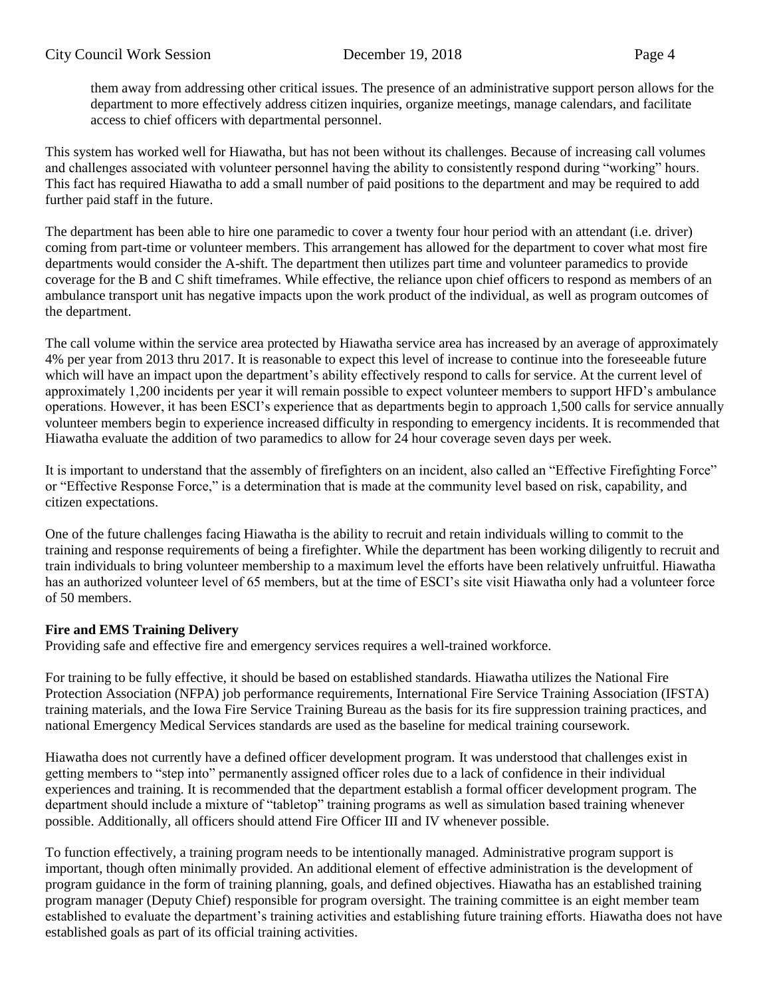them away from addressing other critical issues. The presence of an administrative support person allows for the department to more effectively address citizen inquiries, organize meetings, manage calendars, and facilitate access to chief officers with departmental personnel.

This system has worked well for Hiawatha, but has not been without its challenges. Because of increasing call volumes and challenges associated with volunteer personnel having the ability to consistently respond during "working" hours. This fact has required Hiawatha to add a small number of paid positions to the department and may be required to add further paid staff in the future.

The department has been able to hire one paramedic to cover a twenty four hour period with an attendant (i.e. driver) coming from part-time or volunteer members. This arrangement has allowed for the department to cover what most fire departments would consider the A-shift. The department then utilizes part time and volunteer paramedics to provide coverage for the B and C shift timeframes. While effective, the reliance upon chief officers to respond as members of an ambulance transport unit has negative impacts upon the work product of the individual, as well as program outcomes of the department.

The call volume within the service area protected by Hiawatha service area has increased by an average of approximately 4% per year from 2013 thru 2017. It is reasonable to expect this level of increase to continue into the foreseeable future which will have an impact upon the department's ability effectively respond to calls for service. At the current level of approximately 1,200 incidents per year it will remain possible to expect volunteer members to support HFD's ambulance operations. However, it has been ESCI's experience that as departments begin to approach 1,500 calls for service annually volunteer members begin to experience increased difficulty in responding to emergency incidents. It is recommended that Hiawatha evaluate the addition of two paramedics to allow for 24 hour coverage seven days per week.

It is important to understand that the assembly of firefighters on an incident, also called an "Effective Firefighting Force" or "Effective Response Force," is a determination that is made at the community level based on risk, capability, and citizen expectations.

One of the future challenges facing Hiawatha is the ability to recruit and retain individuals willing to commit to the training and response requirements of being a firefighter. While the department has been working diligently to recruit and train individuals to bring volunteer membership to a maximum level the efforts have been relatively unfruitful. Hiawatha has an authorized volunteer level of 65 members, but at the time of ESCI's site visit Hiawatha only had a volunteer force of 50 members.

# **Fire and EMS Training Delivery**

Providing safe and effective fire and emergency services requires a well-trained workforce.

For training to be fully effective, it should be based on established standards. Hiawatha utilizes the National Fire Protection Association (NFPA) job performance requirements, International Fire Service Training Association (IFSTA) training materials, and the Iowa Fire Service Training Bureau as the basis for its fire suppression training practices, and national Emergency Medical Services standards are used as the baseline for medical training coursework.

Hiawatha does not currently have a defined officer development program. It was understood that challenges exist in getting members to "step into" permanently assigned officer roles due to a lack of confidence in their individual experiences and training. It is recommended that the department establish a formal officer development program. The department should include a mixture of "tabletop" training programs as well as simulation based training whenever possible. Additionally, all officers should attend Fire Officer III and IV whenever possible.

To function effectively, a training program needs to be intentionally managed. Administrative program support is important, though often minimally provided. An additional element of effective administration is the development of program guidance in the form of training planning, goals, and defined objectives. Hiawatha has an established training program manager (Deputy Chief) responsible for program oversight. The training committee is an eight member team established to evaluate the department's training activities and establishing future training efforts. Hiawatha does not have established goals as part of its official training activities.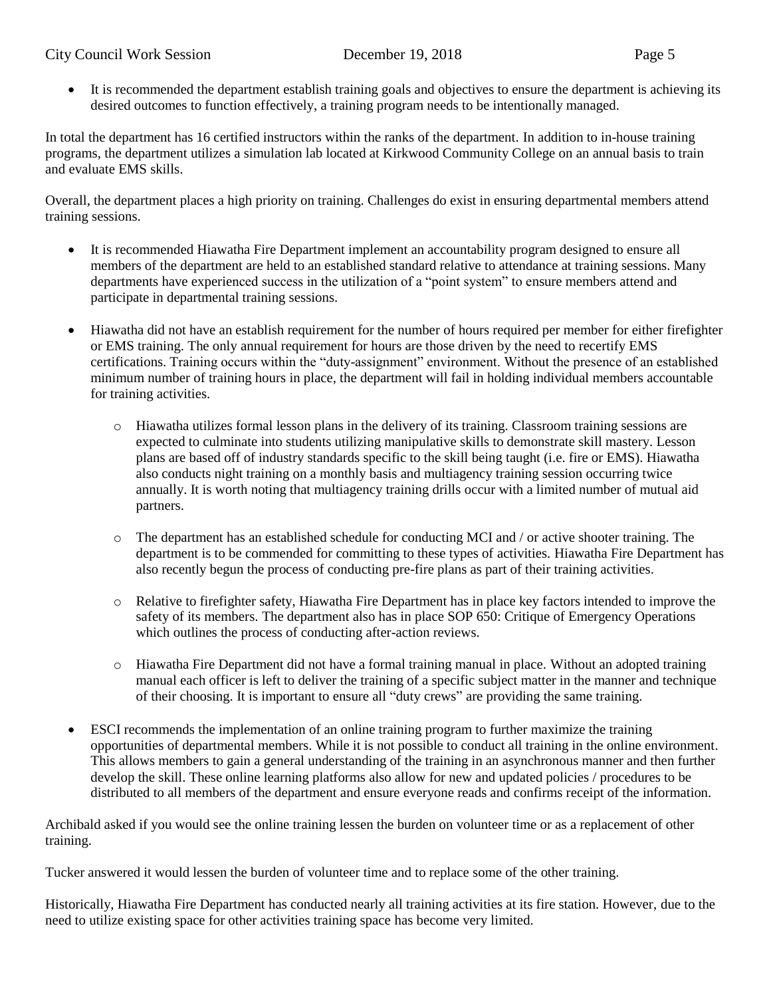# City Council Work Session December 19, 2018 Page 5

• It is recommended the department establish training goals and objectives to ensure the department is achieving its desired outcomes to function effectively, a training program needs to be intentionally managed.

In total the department has 16 certified instructors within the ranks of the department. In addition to in-house training programs, the department utilizes a simulation lab located at Kirkwood Community College on an annual basis to train and evaluate EMS skills.

Overall, the department places a high priority on training. Challenges do exist in ensuring departmental members attend training sessions.

- It is recommended Hiawatha Fire Department implement an accountability program designed to ensure all members of the department are held to an established standard relative to attendance at training sessions. Many departments have experienced success in the utilization of a "point system" to ensure members attend and participate in departmental training sessions.
- Hiawatha did not have an establish requirement for the number of hours required per member for either firefighter or EMS training. The only annual requirement for hours are those driven by the need to recertify EMS certifications. Training occurs within the "duty-assignment" environment. Without the presence of an established minimum number of training hours in place, the department will fail in holding individual members accountable for training activities.
	- o Hiawatha utilizes formal lesson plans in the delivery of its training. Classroom training sessions are expected to culminate into students utilizing manipulative skills to demonstrate skill mastery. Lesson plans are based off of industry standards specific to the skill being taught (i.e. fire or EMS). Hiawatha also conducts night training on a monthly basis and multiagency training session occurring twice annually. It is worth noting that multiagency training drills occur with a limited number of mutual aid partners.
	- $\circ$  The department has an established schedule for conducting MCI and / or active shooter training. The department is to be commended for committing to these types of activities. Hiawatha Fire Department has also recently begun the process of conducting pre-fire plans as part of their training activities.
	- o Relative to firefighter safety, Hiawatha Fire Department has in place key factors intended to improve the safety of its members. The department also has in place SOP 650: Critique of Emergency Operations which outlines the process of conducting after-action reviews.
	- o Hiawatha Fire Department did not have a formal training manual in place. Without an adopted training manual each officer is left to deliver the training of a specific subject matter in the manner and technique of their choosing. It is important to ensure all "duty crews" are providing the same training.
- ESCI recommends the implementation of an online training program to further maximize the training opportunities of departmental members. While it is not possible to conduct all training in the online environment. This allows members to gain a general understanding of the training in an asynchronous manner and then further develop the skill. These online learning platforms also allow for new and updated policies / procedures to be distributed to all members of the department and ensure everyone reads and confirms receipt of the information.

Archibald asked if you would see the online training lessen the burden on volunteer time or as a replacement of other training.

Tucker answered it would lessen the burden of volunteer time and to replace some of the other training.

Historically, Hiawatha Fire Department has conducted nearly all training activities at its fire station. However, due to the need to utilize existing space for other activities training space has become very limited.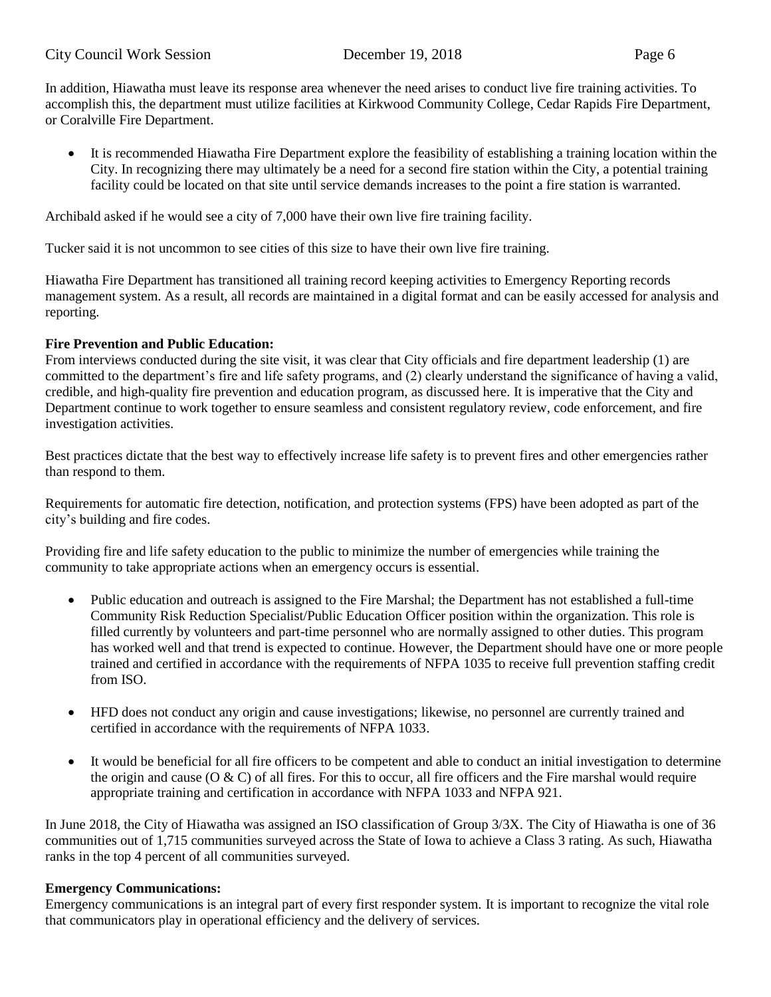In addition, Hiawatha must leave its response area whenever the need arises to conduct live fire training activities. To accomplish this, the department must utilize facilities at Kirkwood Community College, Cedar Rapids Fire Department, or Coralville Fire Department.

• It is recommended Hiawatha Fire Department explore the feasibility of establishing a training location within the City. In recognizing there may ultimately be a need for a second fire station within the City, a potential training facility could be located on that site until service demands increases to the point a fire station is warranted.

Archibald asked if he would see a city of 7,000 have their own live fire training facility.

Tucker said it is not uncommon to see cities of this size to have their own live fire training.

Hiawatha Fire Department has transitioned all training record keeping activities to Emergency Reporting records management system. As a result, all records are maintained in a digital format and can be easily accessed for analysis and reporting.

### **Fire Prevention and Public Education:**

From interviews conducted during the site visit, it was clear that City officials and fire department leadership (1) are committed to the department's fire and life safety programs, and (2) clearly understand the significance of having a valid, credible, and high-quality fire prevention and education program, as discussed here. It is imperative that the City and Department continue to work together to ensure seamless and consistent regulatory review, code enforcement, and fire investigation activities.

Best practices dictate that the best way to effectively increase life safety is to prevent fires and other emergencies rather than respond to them.

Requirements for automatic fire detection, notification, and protection systems (FPS) have been adopted as part of the city's building and fire codes.

Providing fire and life safety education to the public to minimize the number of emergencies while training the community to take appropriate actions when an emergency occurs is essential.

- Public education and outreach is assigned to the Fire Marshal; the Department has not established a full-time Community Risk Reduction Specialist/Public Education Officer position within the organization. This role is filled currently by volunteers and part-time personnel who are normally assigned to other duties. This program has worked well and that trend is expected to continue. However, the Department should have one or more people trained and certified in accordance with the requirements of NFPA 1035 to receive full prevention staffing credit from ISO.
- HFD does not conduct any origin and cause investigations; likewise, no personnel are currently trained and certified in accordance with the requirements of NFPA 1033.
- It would be beneficial for all fire officers to be competent and able to conduct an initial investigation to determine the origin and cause ( $\overline{O} \& C$ ) of all fires. For this to occur, all fire officers and the Fire marshal would require appropriate training and certification in accordance with NFPA 1033 and NFPA 921.

In June 2018, the City of Hiawatha was assigned an ISO classification of Group 3/3X. The City of Hiawatha is one of 36 communities out of 1,715 communities surveyed across the State of Iowa to achieve a Class 3 rating. As such, Hiawatha ranks in the top 4 percent of all communities surveyed.

### **Emergency Communications:**

Emergency communications is an integral part of every first responder system. It is important to recognize the vital role that communicators play in operational efficiency and the delivery of services.